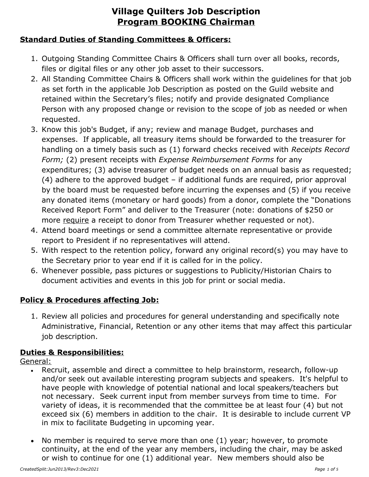### **Standard Duties of Standing Committees & Officers:**

- 1. Outgoing Standing Committee Chairs & Officers shall turn over all books, records, files or digital files or any other job asset to their successors.
- 2. All Standing Committee Chairs & Officers shall work within the guidelines for that job as set forth in the applicable Job Description as posted on the Guild website and retained within the Secretary's files; notify and provide designated Compliance Person with any proposed change or revision to the scope of job as needed or when requested.
- 3. Know this job's Budget, if any; review and manage Budget, purchases and expenses. If applicable, all treasury items should be forwarded to the treasurer for handling on a timely basis such as (1) forward checks received with *Receipts Record Form;* (2) present receipts with *Expense Reimbursement Forms* for any expenditures; (3) advise treasurer of budget needs on an annual basis as requested; (4) adhere to the approved budget – if additional funds are required, prior approval by the board must be requested before incurring the expenses and (5) if you receive any donated items (monetary or hard goods) from a donor, complete the "Donations Received Report Form" and deliver to the Treasurer (note: donations of \$250 or more require a receipt to donor from Treasurer whether requested or not).
- 4. Attend board meetings or send a committee alternate representative or provide report to President if no representatives will attend.
- 5. With respect to the retention policy, forward any original record(s) you may have to the Secretary prior to year end if it is called for in the policy.
- 6. Whenever possible, pass pictures or suggestions to Publicity/Historian Chairs to document activities and events in this job for print or social media.

### **Policy & Procedures affecting Job:**

1. Review all policies and procedures for general understanding and specifically note Administrative, Financial, Retention or any other items that may affect this particular job description.

#### **Duties & Responsibilities:**

General:

- Recruit, assemble and direct a committee to help brainstorm, research, follow-up and/or seek out available interesting program subjects and speakers. It's helpful to have people with knowledge of potential national and local speakers/teachers but not necessary. Seek current input from member surveys from time to time. For variety of ideas, it is recommended that the committee be at least four (4) but not exceed six (6) members in addition to the chair. It is desirable to include current VP in mix to facilitate Budgeting in upcoming year.
- No member is required to serve more than one (1) year; however, to promote continuity, at the end of the year any members, including the chair, may be asked or wish to continue for one (1) additional year. New members should also be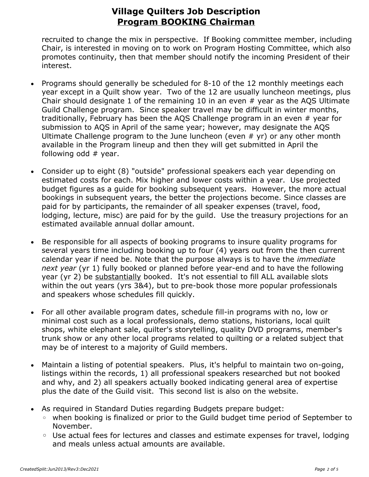recruited to change the mix in perspective. If Booking committee member, including Chair, is interested in moving on to work on Program Hosting Committee, which also promotes continuity, then that member should notify the incoming President of their interest.

- Programs should generally be scheduled for 8-10 of the 12 monthly meetings each year except in a Quilt show year. Two of the 12 are usually luncheon meetings, plus Chair should designate 1 of the remaining 10 in an even # year as the AQS Ultimate Guild Challenge program. Since speaker travel may be difficult in winter months, traditionally, February has been the AQS Challenge program in an even # year for submission to AQS in April of the same year; however, may designate the AQS Ultimate Challenge program to the June luncheon (even  $#$  yr) or any other month available in the Program lineup and then they will get submitted in April the following odd # year.
- Consider up to eight (8) "outside" professional speakers each year depending on estimated costs for each. Mix higher and lower costs within a year. Use projected budget figures as a guide for booking subsequent years. However, the more actual bookings in subsequent years, the better the projections become. Since classes are paid for by participants, the remainder of all speaker expenses (travel, food, lodging, lecture, misc) are paid for by the guild. Use the treasury projections for an estimated available annual dollar amount.
- Be responsible for all aspects of booking programs to insure quality programs for several years time including booking up to four (4) years out from the then current calendar year if need be. Note that the purpose always is to have the *immediate next year* (yr 1) fully booked or planned before year-end and to have the following year (yr 2) be substantially booked. It's not essential to fill ALL available slots within the out years (yrs 3&4), but to pre-book those more popular professionals and speakers whose schedules fill quickly.
- For all other available program dates, schedule fill-in programs with no, low or minimal cost such as a local professionals, demo stations, historians, local quilt shops, white elephant sale, quilter's storytelling, quality DVD programs, member's trunk show or any other local programs related to quilting or a related subject that may be of interest to a majority of Guild members.
- Maintain a listing of potential speakers. Plus, it's helpful to maintain two on-going, listings within the records, 1) all professional speakers researched but not booked and why, and 2) all speakers actually booked indicating general area of expertise plus the date of the Guild visit. This second list is also on the website.
- As required in Standard Duties regarding Budgets prepare budget:
	- when booking is finalized or prior to the Guild budget time period of September to November.
	- Use actual fees for lectures and classes and estimate expenses for travel, lodging and meals unless actual amounts are available.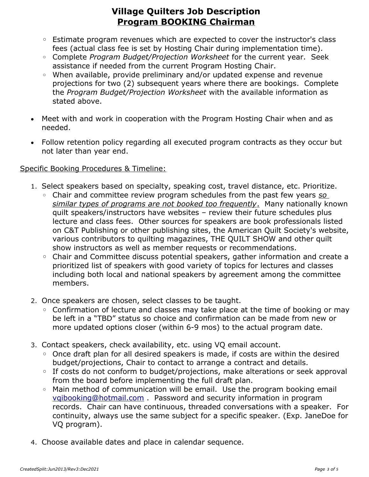- Estimate program revenues which are expected to cover the instructor's class fees (actual class fee is set by Hosting Chair during implementation time).
- Complete *Program Budget/Projection Worksheet* for the current year. Seek assistance if needed from the current Program Hosting Chair.
- When available, provide preliminary and/or updated expense and revenue projections for two (2) subsequent years where there are bookings. Complete the *Program Budget/Projection Worksheet* with the available information as stated above.
- Meet with and work in cooperation with the Program Hosting Chair when and as needed.
- Follow retention policy regarding all executed program contracts as they occur but not later than year end.

#### Specific Booking Procedures & Timeline:

- 1. Select speakers based on specialty, speaking cost, travel distance, etc. Prioritize.
	- Chair and committee review program schedules from the past few years *so similar types of programs are not booked too frequently*. Many nationally known quilt speakers/instructors have websites – review their future schedules plus lecture and class fees. Other sources for speakers are book professionals listed on C&T Publishing or other publishing sites, the American Quilt Society's website, various contributors to quilting magazines, THE QUILT SHOW and other quilt show instructors as well as member requests or recommendations.
	- Chair and Committee discuss potential speakers, gather information and create a prioritized list of speakers with good variety of topics for lectures and classes including both local and national speakers by agreement among the committee members.
- 2. Once speakers are chosen, select classes to be taught.
	- Confirmation of lecture and classes may take place at the time of booking or may be left in a "TBD" status so choice and confirmation can be made from new or more updated options closer (within 6-9 mos) to the actual program date.
- 3. Contact speakers, check availability, etc. using VQ email account.
	- Once draft plan for all desired speakers is made, if costs are within the desired budget/projections, Chair to contact to arrange a contract and details.
	- If costs do not conform to budget/projections, make alterations or seek approval from the board before implementing the full draft plan.
	- Main method of communication will be email. Use the program booking email [vqibooking@hotmail.com](mailto:vqihosting@hotmail.com) . Password and security information in program records. Chair can have continuous, threaded conversations with a speaker. For continuity, always use the same subject for a specific speaker. (Exp. JaneDoe for VQ program).
- 4. Choose available dates and place in calendar sequence.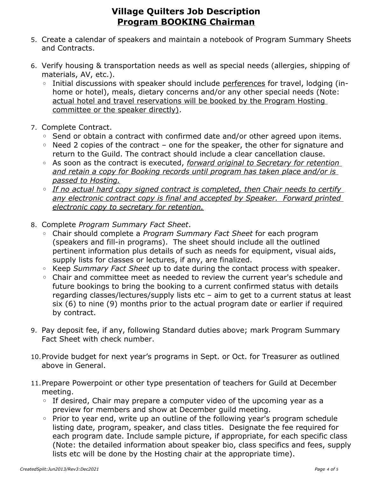- 5. Create a calendar of speakers and maintain a notebook of Program Summary Sheets and Contracts.
- 6. Verify housing & transportation needs as well as special needs (allergies, shipping of materials, AV, etc.).
	- Initial discussions with speaker should include perferences for travel, lodging (inhome or hotel), meals, dietary concerns and/or any other special needs (Note: actual hotel and travel reservations will be booked by the Program Hosting committee or the speaker directly).
- 7. Complete Contract.
	- Send or obtain a contract with confirmed date and/or other agreed upon items.
	- Need 2 copies of the contract one for the speaker, the other for signature and return to the Guild. The contract should include a clear cancellation clause.
	- As soon as the contract is executed, *forward original to Secretary for retention and retain a copy for Booking records until program has taken place and/or is passed to Hosting.*
	- *If no actual hard copy signed contract is completed, then Chair needs to certify*  any electronic contract copy is final and accepted by Speaker. Forward printed *electronic copy to secretary for retention.*
- 8. Complete *Program Summary Fact Sheet*.
	- Chair should complete a *Program Summary Fact Sheet* for each program (speakers and fill-in programs). The sheet should include all the outlined pertinent information plus details of such as needs for equipment, visual aids, supply lists for classes or lectures, if any, are finalized.
	- Keep *Summary Fact Sheet* up to date during the contact process with speaker.
	- Chair and committee meet as needed to review the current year's schedule and future bookings to bring the booking to a current confirmed status with details regarding classes/lectures/supply lists etc – aim to get to a current status at least six (6) to nine (9) months prior to the actual program date or earlier if required by contract.
- 9. Pay deposit fee, if any, following Standard duties above; mark Program Summary Fact Sheet with check number.
- 10.Provide budget for next year's programs in Sept. or Oct. for Treasurer as outlined above in General.
- 11.Prepare Powerpoint or other type presentation of teachers for Guild at December meeting.
	- If desired, Chair may prepare a computer video of the upcoming year as a preview for members and show at December guild meeting.
	- Prior to year end, write up an outline of the following year's program schedule listing date, program, speaker, and class titles. Designate the fee required for each program date. Include sample picture, if appropriate, for each specific class (Note: the detailed information about speaker bio, class specifics and fees, supply lists etc will be done by the Hosting chair at the appropriate time).